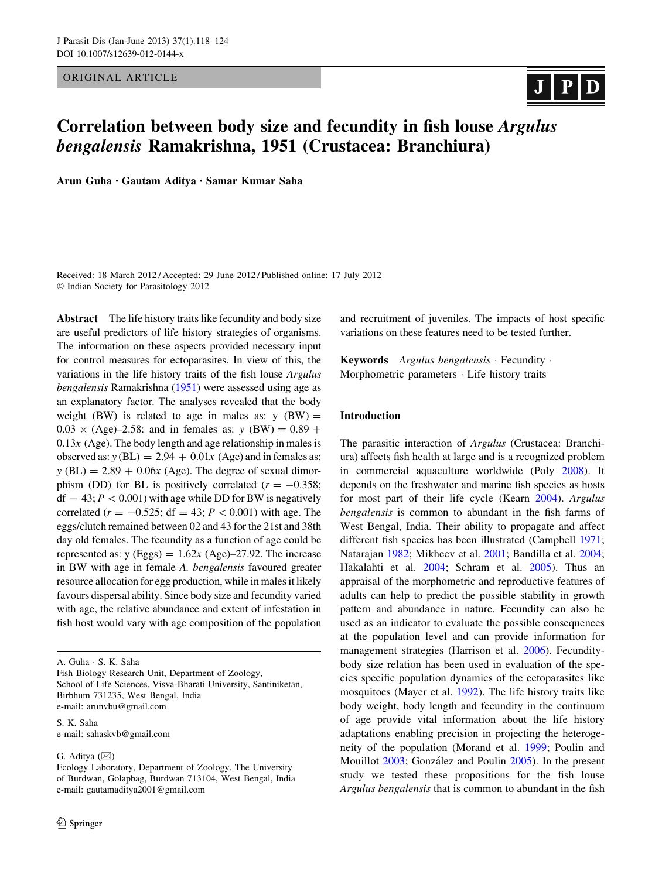ORIGINAL ARTICLE

# 

# Correlation between body size and fecundity in fish louse Argulus bengalensis Ramakrishna, 1951 (Crustacea: Branchiura)

Arun Guha • Gautam Aditya • Samar Kumar Saha

Received: 18 March 2012 / Accepted: 29 June 2012 / Published online: 17 July 2012  $©$  Indian Society for Parasitology 2012

Abstract The life history traits like fecundity and body size are useful predictors of life history strategies of organisms. The information on these aspects provided necessary input for control measures for ectoparasites. In view of this, the variations in the life history traits of the fish louse Argulus bengalensis Ramakrishna ([1951](#page-6-0)) were assessed using age as an explanatory factor. The analyses revealed that the body weight (BW) is related to age in males as:  $y$  (BW) =  $0.03 \times (Age) - 2.58$ : and in females as: y (BW) = 0.89 +  $0.13x$  (Age). The body length and age relationship in males is observed as:  $y (BL) = 2.94 + 0.01x$  (Age) and in females as:  $y$  (BL) = 2.89 + 0.06 $x$  (Age). The degree of sexual dimorphism (DD) for BL is positively correlated ( $r = -0.358$ ;  $df = 43$ ;  $P < 0.001$ ) with age while DD for BW is negatively correlated ( $r = -0.525$ ; df = 43;  $P \lt 0.001$ ) with age. The eggs/clutch remained between 02 and 43 for the 21st and 38th day old females. The fecundity as a function of age could be represented as:  $y$  (Eggs) = 1.62 $x$  (Age)–27.92. The increase in BW with age in female A. bengalensis favoured greater resource allocation for egg production, while in males it likely favours dispersal ability. Since body size and fecundity varied with age, the relative abundance and extent of infestation in fish host would vary with age composition of the population

A. Guha - S. K. Saha

Fish Biology Research Unit, Department of Zoology, School of Life Sciences, Visva-Bharati University, Santiniketan, Birbhum 731235, West Bengal, India e-mail: arunvbu@gmail.com

S. K. Saha e-mail: sahaskvb@gmail.com

G. Aditya  $(\boxtimes)$ 

and recruitment of juveniles. The impacts of host specific variations on these features need to be tested further.

Keywords Argulus bengalensis · Fecundity · Morphometric parameters - Life history traits

### Introduction

The parasitic interaction of Argulus (Crustacea: Branchiura) affects fish health at large and is a recognized problem in commercial aquaculture worldwide (Poly [2008\)](#page-6-0). It depends on the freshwater and marine fish species as hosts for most part of their life cycle (Kearn [2004\)](#page-6-0). Argulus bengalensis is common to abundant in the fish farms of West Bengal, India. Their ability to propagate and affect different fish species has been illustrated (Campbell [1971](#page-6-0); Natarajan [1982](#page-6-0); Mikheev et al. [2001;](#page-6-0) Bandilla et al. [2004](#page-5-0); Hakalahti et al. [2004;](#page-6-0) Schram et al. [2005](#page-6-0)). Thus an appraisal of the morphometric and reproductive features of adults can help to predict the possible stability in growth pattern and abundance in nature. Fecundity can also be used as an indicator to evaluate the possible consequences at the population level and can provide information for management strategies (Harrison et al. [2006\)](#page-6-0). Fecunditybody size relation has been used in evaluation of the species specific population dynamics of the ectoparasites like mosquitoes (Mayer et al. [1992\)](#page-6-0). The life history traits like body weight, body length and fecundity in the continuum of age provide vital information about the life history adaptations enabling precision in projecting the heterogeneity of the population (Morand et al. [1999](#page-6-0); Poulin and Mouillot [2003](#page-6-0); González and Poulin [2005\)](#page-6-0). In the present study we tested these propositions for the fish louse Argulus bengalensis that is common to abundant in the fish

Ecology Laboratory, Department of Zoology, The University of Burdwan, Golapbag, Burdwan 713104, West Bengal, India e-mail: gautamaditya2001@gmail.com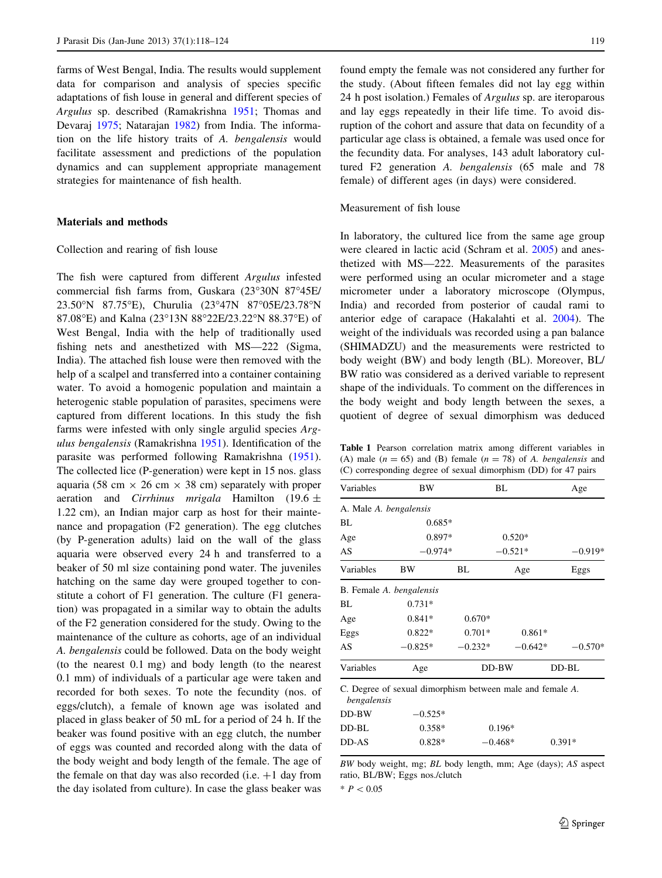<span id="page-1-0"></span>farms of West Bengal, India. The results would supplement data for comparison and analysis of species specific adaptations of fish louse in general and different species of Argulus sp. described (Ramakrishna [1951](#page-6-0); Thomas and Devaraj [1975;](#page-6-0) Natarajan [1982\)](#page-6-0) from India. The information on the life history traits of A. bengalensis would facilitate assessment and predictions of the population dynamics and can supplement appropriate management strategies for maintenance of fish health.

#### Materials and methods

#### Collection and rearing of fish louse

The fish were captured from different Argulus infested commercial fish farms from, Guskara (23°30N 87°45E/ 23.50°N 87.75°E), Churulia (23°47N 87°05E/23.78°N 87.08°E) and Kalna (23°13N 88°22E/23.22°N 88.37°E) of West Bengal, India with the help of traditionally used fishing nets and anesthetized with MS—222 (Sigma, India). The attached fish louse were then removed with the help of a scalpel and transferred into a container containing water. To avoid a homogenic population and maintain a heterogenic stable population of parasites, specimens were captured from different locations. In this study the fish farms were infested with only single argulid species Argulus bengalensis (Ramakrishna [1951](#page-6-0)). Identification of the parasite was performed following Ramakrishna [\(1951](#page-6-0)). The collected lice (P-generation) were kept in 15 nos. glass aquaria (58 cm  $\times$  26 cm  $\times$  38 cm) separately with proper aeration and Cirrhinus mrigala Hamilton (19.6  $\pm$ 1.22 cm), an Indian major carp as host for their maintenance and propagation (F2 generation). The egg clutches (by P-generation adults) laid on the wall of the glass aquaria were observed every 24 h and transferred to a beaker of 50 ml size containing pond water. The juveniles hatching on the same day were grouped together to constitute a cohort of F1 generation. The culture (F1 generation) was propagated in a similar way to obtain the adults of the F2 generation considered for the study. Owing to the maintenance of the culture as cohorts, age of an individual A. bengalensis could be followed. Data on the body weight (to the nearest 0.1 mg) and body length (to the nearest 0.1 mm) of individuals of a particular age were taken and recorded for both sexes. To note the fecundity (nos. of eggs/clutch), a female of known age was isolated and placed in glass beaker of 50 mL for a period of 24 h. If the beaker was found positive with an egg clutch, the number of eggs was counted and recorded along with the data of the body weight and body length of the female. The age of the female on that day was also recorded (i.e.  $+1$  day from the day isolated from culture). In case the glass beaker was

found empty the female was not considered any further for the study. (About fifteen females did not lay egg within 24 h post isolation.) Females of Argulus sp. are iteroparous and lay eggs repeatedly in their life time. To avoid disruption of the cohort and assure that data on fecundity of a particular age class is obtained, a female was used once for the fecundity data. For analyses, 143 adult laboratory cultured F2 generation A. bengalensis (65 male and 78 female) of different ages (in days) were considered.

#### Measurement of fish louse

In laboratory, the cultured lice from the same age group were cleared in lactic acid (Schram et al. [2005\)](#page-6-0) and anesthetized with MS—222. Measurements of the parasites were performed using an ocular micrometer and a stage micrometer under a laboratory microscope (Olympus, India) and recorded from posterior of caudal rami to anterior edge of carapace (Hakalahti et al. [2004](#page-6-0)). The weight of the individuals was recorded using a pan balance (SHIMADZU) and the measurements were restricted to body weight (BW) and body length (BL). Moreover, BL/ BW ratio was considered as a derived variable to represent shape of the individuals. To comment on the differences in the body weight and body length between the sexes, a quotient of degree of sexual dimorphism was deduced

Table 1 Pearson correlation matrix among different variables in (A) male ( $n = 65$ ) and (B) female ( $n = 78$ ) of A. bengalensis and (C) corresponding degree of sexual dimorphism (DD) for 47 pairs

| Variables                | BW                                                        |           | BL        | Age       |
|--------------------------|-----------------------------------------------------------|-----------|-----------|-----------|
| A. Male A. bengalensis   |                                                           |           |           |           |
| BL                       | $0.685*$                                                  |           |           |           |
| Age                      | 0.897*                                                    |           | $0.520*$  |           |
| AS                       | $-0.974*$                                                 |           | $-0.521*$ | $-0.919*$ |
| Variables                | ΒW                                                        | BL        | Age       | Eggs      |
| B. Female A. bengalensis |                                                           |           |           |           |
| BL                       | $0.731*$                                                  |           |           |           |
| Age                      | $0.841*$                                                  | $0.670*$  |           |           |
| Eggs                     | $0.822*$                                                  | $0.701*$  | $0.861*$  |           |
| AS                       | $-0.825*$                                                 | $-0.232*$ | $-0.642*$ | $-0.570*$ |
| Variables                | Age                                                       |           | $DD-BW$   | $DD-BL$   |
| bengalensis              | C. Degree of sexual dimorphism between male and female A. |           |           |           |
| $DD-BW$                  | $-0.525*$                                                 |           |           |           |
| $DD-BL$                  | $0.358*$                                                  |           | $0.196*$  |           |
| DD-AS                    | $0.828*$                                                  |           | $-0.468*$ | $0.391*$  |
|                          |                                                           |           |           |           |

BW body weight, mg; BL body length, mm; Age (days); AS aspect ratio, BL/BW; Eggs nos./clutch

 $* P < 0.05$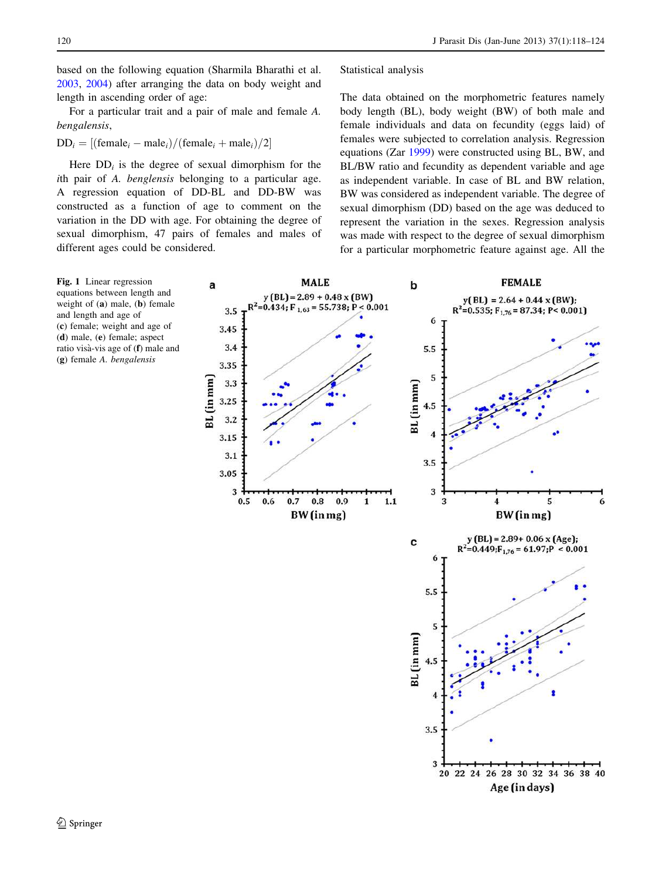<span id="page-2-0"></span>based on the following equation (Sharmila Bharathi et al. [2003,](#page-6-0) [2004](#page-6-0)) after arranging the data on body weight and length in ascending order of age:

For a particular trait and a pair of male and female A. bengalensis,

$$
DD_i = [(\text{female}_i - \text{male}_i) / (\text{female}_i + \text{male}_i) / 2]
$$

Here  $DD_i$  is the degree of sexual dimorphism for the ith pair of A. benglensis belonging to a particular age. A regression equation of DD-BL and DD-BW was constructed as a function of age to comment on the variation in the DD with age. For obtaining the degree of sexual dimorphism, 47 pairs of females and males of different ages could be considered.

Statistical analysis

The data obtained on the morphometric features namely body length (BL), body weight (BW) of both male and female individuals and data on fecundity (eggs laid) of females were subjected to correlation analysis. Regression equations (Zar [1999\)](#page-6-0) were constructed using BL, BW, and BL/BW ratio and fecundity as dependent variable and age as independent variable. In case of BL and BW relation, BW was considered as independent variable. The degree of sexual dimorphism (DD) based on the age was deduced to represent the variation in the sexes. Regression analysis was made with respect to the degree of sexual dimorphism for a particular morphometric feature against age. All the



Fig. 1 Linear regression equations between length and weight of (a) male, (b) female and length and age of (c) female; weight and age of (d) male, (e) female; aspect ratio visà-vis age of (f) male and (g) female A. bengalensis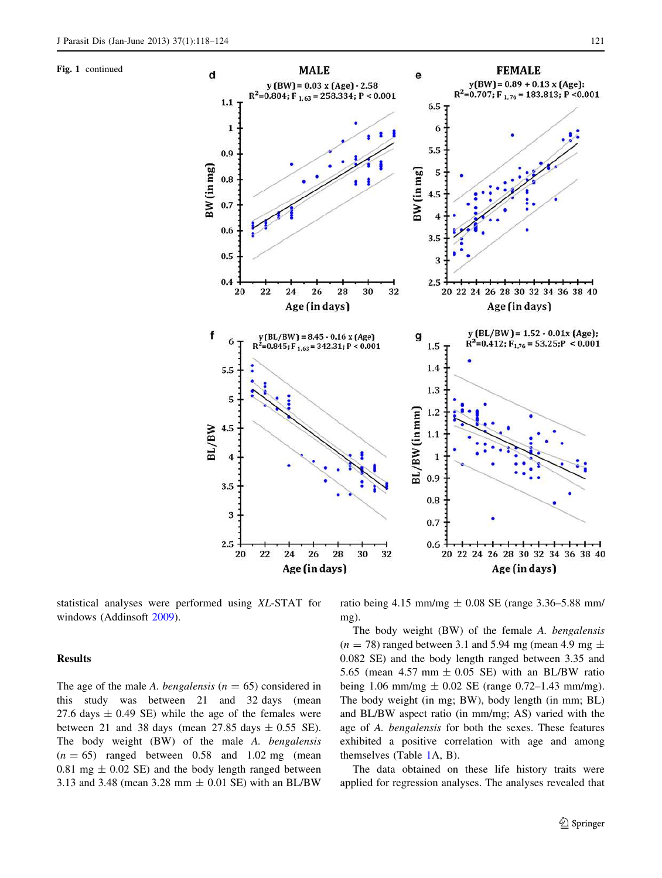Fig. 1 continued



statistical analyses were performed using XL-STAT for windows (Addinsoft [2009\)](#page-5-0).

## Results

The age of the male A. bengalensis ( $n = 65$ ) considered in this study was between 21 and 32 days (mean 27.6 days  $\pm$  0.49 SE) while the age of the females were between 21 and 38 days (mean  $27.85$  days  $\pm$  0.55 SE). The body weight (BW) of the male A. bengalensis  $(n = 65)$  ranged between 0.58 and 1.02 mg (mean 0.81 mg  $\pm$  0.02 SE) and the body length ranged between 3.13 and 3.48 (mean 3.28 mm ± 0.01 SE) with an BL/BW ratio being 4.15 mm/mg  $\pm$  0.08 SE (range 3.36–5.88 mm/ mg).

The body weight (BW) of the female A. bengalensis  $(n = 78)$  ranged between 3.1 and 5.94 mg (mean 4.9 mg  $\pm$ 0.082 SE) and the body length ranged between 3.35 and 5.65 (mean  $4.57$  mm  $\pm$  0.05 SE) with an BL/BW ratio being 1.06 mm/mg  $\pm$  0.02 SE (range 0.72–1.43 mm/mg). The body weight (in mg; BW), body length (in mm; BL) and BL/BW aspect ratio (in mm/mg; AS) varied with the age of A. bengalensis for both the sexes. These features exhibited a positive correlation with age and among themselves (Table [1](#page-1-0)A, B).

The data obtained on these life history traits were applied for regression analyses. The analyses revealed that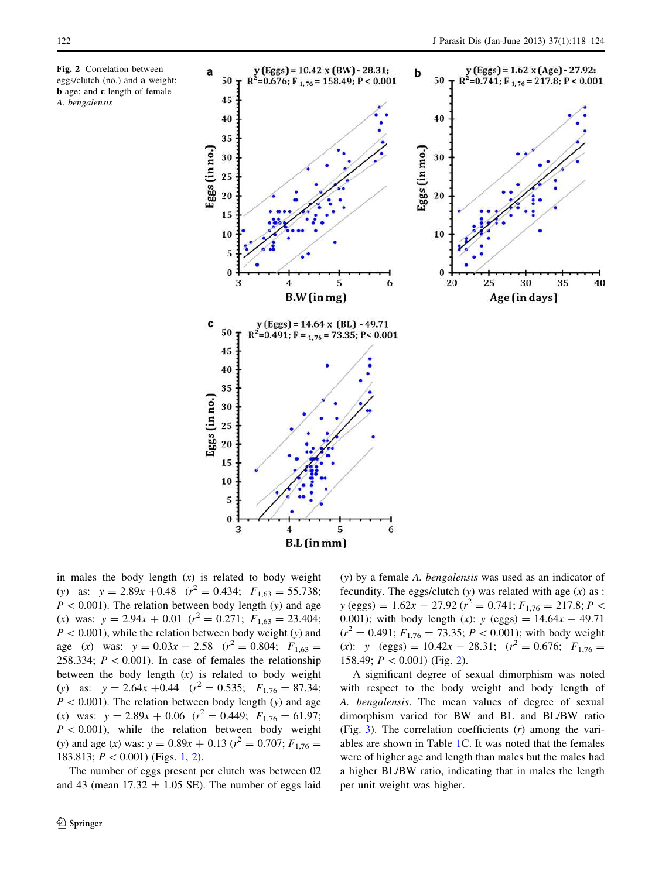<span id="page-4-0"></span>Fig. 2 Correlation between eggs/clutch (no.) and a weight; b age; and c length of female A. bengalensis



in males the body length  $(x)$  is related to body weight (y) as:  $y = 2.89x + 0.48$   $(r^2 = 0.434; F_{1,63} = 55.738;$  $P < 0.001$ ). The relation between body length (y) and age (x) was:  $y = 2.94x + 0.01$  ( $r^2 = 0.271$ ;  $F_{1,63} = 23.404$ ;  $P < 0.001$ , while the relation between body weight (y) and age (x) was:  $y = 0.03x - 2.58$  ( $r^2 = 0.804$ ;  $F_{1,63} =$ 258.334;  $P < 0.001$ ). In case of females the relationship between the body length  $(x)$  is related to body weight (y) as:  $y = 2.64x + 0.44$   $(r^2 = 0.535;$   $F_{1,76} = 87.34;$  $P < 0.001$ ). The relation between body length (y) and age (x) was:  $y = 2.89x + 0.06$  ( $r^2 = 0.449$ ;  $F_{1,76} = 61.97$ ;  $P < 0.001$ ), while the relation between body weight (y) and age (x) was:  $y = 0.89x + 0.13$  ( $r^2 = 0.707$ ;  $F_{1,76} =$ [1](#page-2-0)83.813;  $P < 0.001$ ) (Figs. 1, 2).

The number of eggs present per clutch was between 02 and 43 (mean  $17.32 \pm 1.05$  SE). The number of eggs laid (y) by a female A. bengalensis was used as an indicator of fecundity. The eggs/clutch  $(y)$  was related with age  $(x)$  as :  $y$  (eggs) = 1.62 $x - 27.92$  ( $r^2 = 0.741$ ;  $F_{1,76} = 217.8$ ;  $P <$ 0.001); with body length (x):  $y$  (eggs) = 14.64 $x - 49.71$  $(r^2 = 0.491; F_{1,76} = 73.35; P < 0.001)$ ; with body weight (x): y (eggs) =  $10.42x - 28.31$ ;  $(r^2 = 0.676; F_{1,76}$  = 158.49;  $P < 0.001$ ) (Fig. 2).

A significant degree of sexual dimorphism was noted with respect to the body weight and body length of A. bengalensis. The mean values of degree of sexual dimorphism varied for BW and BL and BL/BW ratio (Fig. [3\)](#page-5-0). The correlation coefficients  $(r)$  among the variables are shown in Table [1](#page-1-0)C. It was noted that the females were of higher age and length than males but the males had a higher BL/BW ratio, indicating that in males the length per unit weight was higher.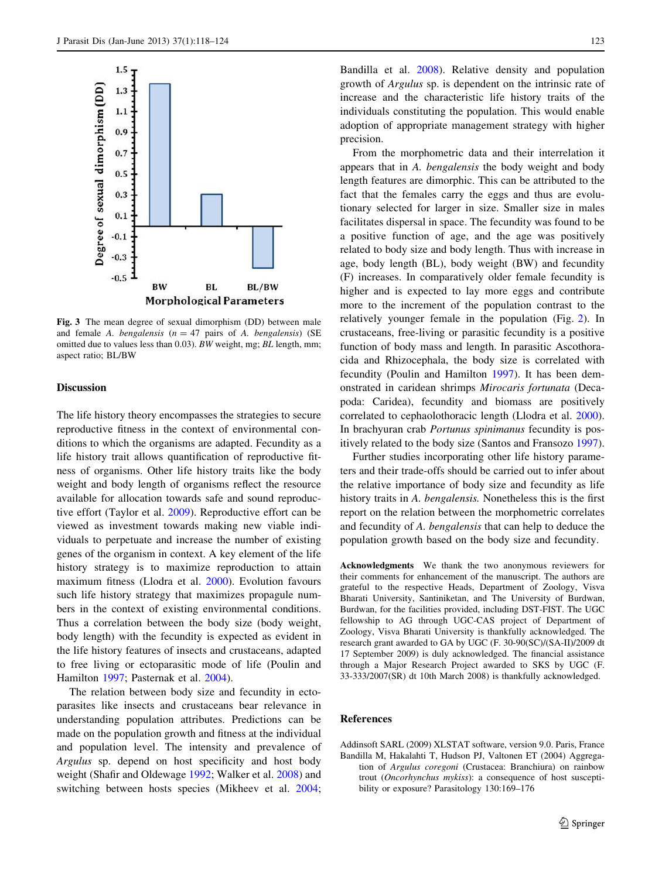<span id="page-5-0"></span>

Fig. 3 The mean degree of sexual dimorphism (DD) between male and female A. bengalensis ( $n = 47$  pairs of A. bengalensis) (SE omitted due to values less than 0.03). BW weight, mg; BL length, mm; aspect ratio; BL/BW

#### Discussion

The life history theory encompasses the strategies to secure reproductive fitness in the context of environmental conditions to which the organisms are adapted. Fecundity as a life history trait allows quantification of reproductive fitness of organisms. Other life history traits like the body weight and body length of organisms reflect the resource available for allocation towards safe and sound reproductive effort (Taylor et al. [2009](#page-6-0)). Reproductive effort can be viewed as investment towards making new viable individuals to perpetuate and increase the number of existing genes of the organism in context. A key element of the life history strategy is to maximize reproduction to attain maximum fitness (Llodra et al. [2000](#page-6-0)). Evolution favours such life history strategy that maximizes propagule numbers in the context of existing environmental conditions. Thus a correlation between the body size (body weight, body length) with the fecundity is expected as evident in the life history features of insects and crustaceans, adapted to free living or ectoparasitic mode of life (Poulin and Hamilton [1997](#page-6-0); Pasternak et al. [2004](#page-6-0)).

The relation between body size and fecundity in ectoparasites like insects and crustaceans bear relevance in understanding population attributes. Predictions can be made on the population growth and fitness at the individual and population level. The intensity and prevalence of Argulus sp. depend on host specificity and host body weight (Shafir and Oldewage [1992;](#page-6-0) Walker et al. [2008\)](#page-6-0) and switching between hosts species (Mikheev et al. [2004](#page-6-0);

Bandilla et al. [2008\)](#page-6-0). Relative density and population growth of Argulus sp. is dependent on the intrinsic rate of increase and the characteristic life history traits of the individuals constituting the population. This would enable adoption of appropriate management strategy with higher precision.

From the morphometric data and their interrelation it appears that in A. bengalensis the body weight and body length features are dimorphic. This can be attributed to the fact that the females carry the eggs and thus are evolutionary selected for larger in size. Smaller size in males facilitates dispersal in space. The fecundity was found to be a positive function of age, and the age was positively related to body size and body length. Thus with increase in age, body length (BL), body weight (BW) and fecundity (F) increases. In comparatively older female fecundity is higher and is expected to lay more eggs and contribute more to the increment of the population contrast to the relatively younger female in the population (Fig. [2](#page-4-0)). In crustaceans, free-living or parasitic fecundity is a positive function of body mass and length. In parasitic Ascothoracida and Rhizocephala, the body size is correlated with fecundity (Poulin and Hamilton [1997\)](#page-6-0). It has been demonstrated in caridean shrimps Mirocaris fortunata (Decapoda: Caridea), fecundity and biomass are positively correlated to cephaolothoracic length (Llodra et al. [2000](#page-6-0)). In brachyuran crab Portunus spinimanus fecundity is positively related to the body size (Santos and Fransozo [1997](#page-6-0)).

Further studies incorporating other life history parameters and their trade-offs should be carried out to infer about the relative importance of body size and fecundity as life history traits in A. bengalensis. Nonetheless this is the first report on the relation between the morphometric correlates and fecundity of A. bengalensis that can help to deduce the population growth based on the body size and fecundity.

Acknowledgments We thank the two anonymous reviewers for their comments for enhancement of the manuscript. The authors are grateful to the respective Heads, Department of Zoology, Visva Bharati University, Santiniketan, and The University of Burdwan, Burdwan, for the facilities provided, including DST-FIST. The UGC fellowship to AG through UGC-CAS project of Department of Zoology, Visva Bharati University is thankfully acknowledged. The research grant awarded to GA by UGC (F. 30-90(SC)/(SA-II)/2009 dt 17 September 2009) is duly acknowledged. The financial assistance through a Major Research Project awarded to SKS by UGC (F. 33-333/2007(SR) dt 10th March 2008) is thankfully acknowledged.

#### References

Addinsoft SARL (2009) XLSTAT software, version 9.0. Paris, France Bandilla M, Hakalahti T, Hudson PJ, Valtonen ET (2004) Aggregation of Argulus coregoni (Crustacea: Branchiura) on rainbow trout (Oncorhynchus mykiss): a consequence of host susceptibility or exposure? Parasitology 130:169–176